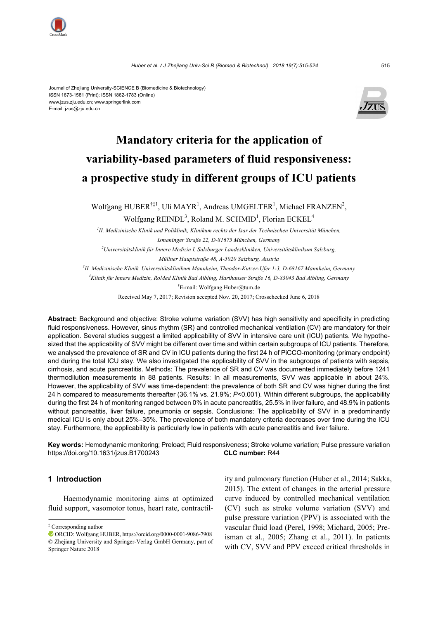



# **Mandatory criteria for the application of variability-based parameters of fluid responsiveness: a prospective study in different groups of ICU patients**

Wolfgang HUBER<sup>†‡1</sup>, Uli MAYR<sup>1</sup>, Andreas UMGELTER<sup>1</sup>, Michael FRANZEN<sup>2</sup>, Wolfgang  $REINDL<sup>3</sup>$ , Roland M. SCHMID<sup>1</sup>, Florian  $ECKEL<sup>4</sup>$ 

*1 II. Medizinische Klinik und Poliklinik, Klinikum rechts der Isar der Technischen Universität München, Ismaninger Straße 22, D-81675 München, Germany* 

*2 Universitätsklinik für Innere Medizin I, Salzburger Landeskliniken, Universitätsklinikum Salzburg, Müllner Hauptstraße 48, A-5020 Salzburg, Austria* 

*3 II. Medizinische Klinik, Universitätsklinikum Mannheim, Theodor-Kutzer-Ufer 1-3, D-68167 Mannheim, Germany* 

*4 Klinik für Innere Medizin, RoMed Klinik Bad Aibling, Harthauser Straße 16, D-83043 Bad Aibling, Germany* 

† E-mail: Wolfgang.Huber@tum.de

Received May 7, 2017; Revision accepted Nov. 20, 2017; Crosschecked June 6, 2018

**Abstract:** Background and objective: Stroke volume variation (SVV) has high sensitivity and specificity in predicting fluid responsiveness. However, sinus rhythm (SR) and controlled mechanical ventilation (CV) are mandatory for their application. Several studies suggest a limited applicability of SVV in intensive care unit (ICU) patients. We hypothesized that the applicability of SVV might be different over time and within certain subgroups of ICU patients. Therefore, we analysed the prevalence of SR and CV in ICU patients during the first 24 h of PiCCO-monitoring (primary endpoint) and during the total ICU stay. We also investigated the applicability of SVV in the subgroups of patients with sepsis, cirrhosis, and acute pancreatitis. Methods: The prevalence of SR and CV was documented immediately before 1241 thermodilution measurements in 88 patients. Results: In all measurements, SVV was applicable in about 24%. However, the applicability of SVV was time-dependent: the prevalence of both SR and CV was higher during the first 24 h compared to measurements thereafter (36.1% vs. 21.9%; *P*<0.001). Within different subgroups, the applicability during the first 24 h of monitoring ranged between 0% in acute pancreatitis, 25.5% in liver failure, and 48.9% in patients without pancreatitis, liver failure, pneumonia or sepsis. Conclusions: The applicability of SVV in a predominantly medical ICU is only about 25%–35%. The prevalence of both mandatory criteria decreases over time during the ICU stay. Furthermore, the applicability is particularly low in patients with acute pancreatitis and liver failure.

**Key words:** Hemodynamic monitoring; Preload; Fluid responsiveness; Stroke volume variation; Pulse pressure variation https://doi.org/10.1631/jzus.B1700243 **CLC number:** R44

# **1 Introduction**

Haemodynamic monitoring aims at optimized fluid support, vasomotor tonus, heart rate, contractility and pulmonary function (Huber et al., 2014; Sakka, 2015). The extent of changes in the arterial pressure curve induced by controlled mechanical ventilation (CV) such as stroke volume variation (SVV) and pulse pressure variation (PPV) is associated with the vascular fluid load (Perel, 1998; Michard, 2005; Preisman et al., 2005; Zhang et al., 2011). In patients with CV, SVV and PPV exceed critical thresholds in

<sup>‡</sup> Corresponding author

ORCID: Wolfgang HUBER, https://orcid.org/0000-0001-9086-7908 © Zhejiang University and Springer-Verlag GmbH Germany, part of Springer Nature 2018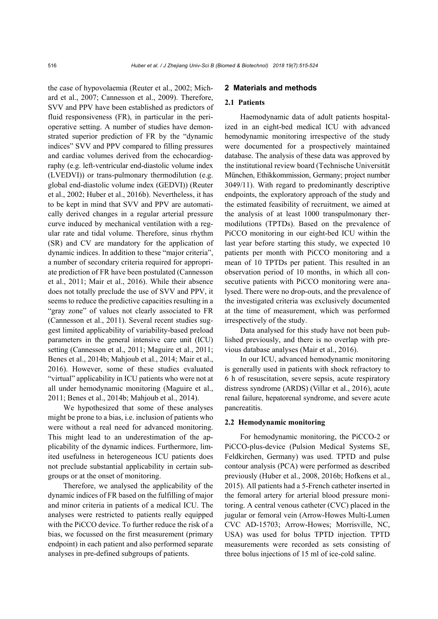the case of hypovolaemia (Reuter et al., 2002; Michard et al., 2007; Cannesson et al., 2009). Therefore, SVV and PPV have been established as predictors of fluid responsiveness (FR), in particular in the perioperative setting. A number of studies have demonstrated superior prediction of FR by the "dynamic indices" SVV and PPV compared to filling pressures and cardiac volumes derived from the echocardiography (e.g. left-ventricular end-diastolic volume index (LVEDVI)) or trans-pulmonary thermodilution (e.g. global end-diastolic volume index (GEDVI)) (Reuter et al., 2002; Huber et al., 2016b). Nevertheless, it has to be kept in mind that SVV and PPV are automatically derived changes in a regular arterial pressure curve induced by mechanical ventilation with a regular rate and tidal volume. Therefore, sinus rhythm (SR) and CV are mandatory for the application of dynamic indices. In addition to these "major criteria", a number of secondary criteria required for appropriate prediction of FR have been postulated (Cannesson et al., 2011; Mair et al., 2016). While their absence does not totally preclude the use of SVV and PPV, it seems to reduce the predictive capacities resulting in a "gray zone" of values not clearly associated to FR (Cannesson et al., 2011). Several recent studies suggest limited applicability of variability-based preload parameters in the general intensive care unit (ICU) setting (Cannesson et al., 2011; Maguire et al., 2011; Benes et al., 2014b; Mahjoub et al., 2014; Mair et al., 2016). However, some of these studies evaluated "virtual" applicability in ICU patients who were not at all under hemodynamic monitoring (Maguire et al., 2011; Benes et al., 2014b; Mahjoub et al., 2014).

We hypothesized that some of these analyses might be prone to a bias, i.e. inclusion of patients who were without a real need for advanced monitoring. This might lead to an underestimation of the applicability of the dynamic indices. Furthermore, limited usefulness in heterogeneous ICU patients does not preclude substantial applicability in certain subgroups or at the onset of monitoring.

Therefore, we analysed the applicability of the dynamic indices of FR based on the fulfilling of major and minor criteria in patients of a medical ICU. The analyses were restricted to patients really equipped with the PiCCO device. To further reduce the risk of a bias, we focussed on the first measurement (primary endpoint) in each patient and also performed separate analyses in pre-defined subgroups of patients.

# **2 Materials and methods**

# **2.1 Patients**

Haemodynamic data of adult patients hospitalized in an eight-bed medical ICU with advanced hemodynamic monitoring irrespective of the study were documented for a prospectively maintained database. The analysis of these data was approved by the institutional review board (Technische Universität München, Ethikkommission, Germany; project number 3049/11). With regard to predominantly descriptive endpoints, the exploratory approach of the study and the estimated feasibility of recruitment, we aimed at the analysis of at least 1000 transpulmonary thermodilutions (TPTDs). Based on the prevalence of PiCCO monitoring in our eight-bed ICU within the last year before starting this study, we expected 10 patients per month with PiCCO monitoring and a mean of 10 TPTDs per patient. This resulted in an observation period of 10 months, in which all consecutive patients with PiCCO monitoring were analysed. There were no drop-outs, and the prevalence of the investigated criteria was exclusively documented at the time of measurement, which was performed irrespectively of the study.

Data analysed for this study have not been published previously, and there is no overlap with previous database analyses (Mair et al., 2016).

In our ICU, advanced hemodynamic monitoring is generally used in patients with shock refractory to 6 h of resuscitation, severe sepsis, acute respiratory distress syndrome (ARDS) (Villar et al., 2016), acute renal failure, hepatorenal syndrome, and severe acute pancreatitis.

#### **2.2 Hemodynamic monitoring**

For hemodynamic monitoring, the PiCCO-2 or PiCCO-plus-device (Pulsion Medical Systems SE, Feldkirchen, Germany) was used. TPTD and pulse contour analysis (PCA) were performed as described previously (Huber et al., 2008, 2016b; Hofkens et al., 2015). All patients had a 5-French catheter inserted in the femoral artery for arterial blood pressure monitoring. A central venous catheter (CVC) placed in the jugular or femoral vein (Arrow-Howes Multi-Lumen CVC AD-15703; Arrow-Howes; Morrisville, NC, USA) was used for bolus TPTD injection. TPTD measurements were recorded as sets consisting of three bolus injections of 15 ml of ice-cold saline.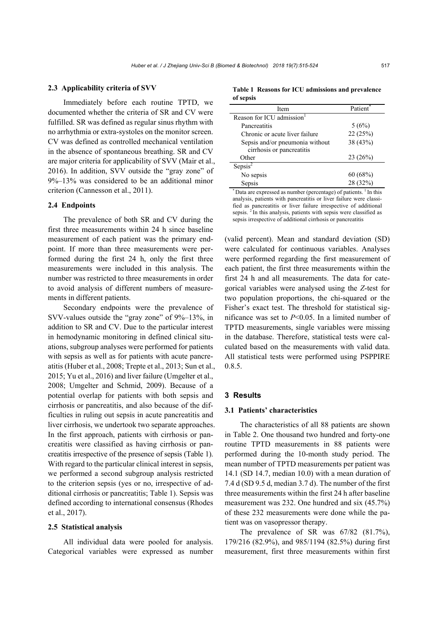#### **2.3 Applicability criteria of SVV**

Immediately before each routine TPTD, we documented whether the criteria of SR and CV were fulfilled. SR was defined as regular sinus rhythm with no arrhythmia or extra-systoles on the monitor screen. CV was defined as controlled mechanical ventilation in the absence of spontaneous breathing. SR and CV are major criteria for applicability of SVV (Mair et al., 2016). In addition, SVV outside the "gray zone" of 9%–13% was considered to be an additional minor criterion (Cannesson et al., 2011).

# **2.4 Endpoints**

The prevalence of both SR and CV during the first three measurements within 24 h since baseline measurement of each patient was the primary endpoint. If more than three measurements were performed during the first 24 h, only the first three measurements were included in this analysis. The number was restricted to three measurements in order to avoid analysis of different numbers of measurements in different patients.

Secondary endpoints were the prevalence of SVV-values outside the "gray zone" of 9%–13%, in addition to SR and CV. Due to the particular interest in hemodynamic monitoring in defined clinical situations, subgroup analyses were performed for patients with sepsis as well as for patients with acute pancreatitis (Huber et al., 2008; Trepte et al., 2013; Sun et al., 2015; Yu et al., 2016) and liver failure (Umgelter et al., 2008; Umgelter and Schmid, 2009). Because of a potential overlap for patients with both sepsis and cirrhosis or pancreatitis, and also because of the difficulties in ruling out sepsis in acute pancreatitis and liver cirrhosis, we undertook two separate approaches. In the first approach, patients with cirrhosis or pancreatitis were classified as having cirrhosis or pancreatitis irrespective of the presence of sepsis (Table 1). With regard to the particular clinical interest in sepsis, we performed a second subgroup analysis restricted to the criterion sepsis (yes or no, irrespective of additional cirrhosis or pancreatitis; Table 1). Sepsis was defined according to international consensus (Rhodes et al., 2017).

#### **2.5 Statistical analysis**

All individual data were pooled for analysis. Categorical variables were expressed as number

**Table 1 Reasons for ICU admissions and prevalence of sepsis** 

| Item                            | Patient  |  |
|---------------------------------|----------|--|
| Reason for ICU admission        |          |  |
| <b>Pancreatitis</b>             | 5(6%)    |  |
| Chronic or acute liver failure  | 22(25%)  |  |
| Sepsis and/or pneumonia without | 38 (43%) |  |
| cirrhosis or pancreatitis       |          |  |
| Other                           | 23(26%)  |  |
| Sepsis <sup>2</sup>             |          |  |
| No sepsis                       | 60(68%)  |  |
| Sepsis                          | 28 (32%) |  |

 $\degree$  Data are expressed as number (percentage) of patients.  $\degree$  In this analysis, patients with pancreatitis or liver failure were classified as pancreatitis or liver failure irrespective of additional sepsis. <sup>2</sup> In this analysis, patients with sepsis were classified as sepsis irrespective of additional cirrhosis or pancreatitis

(valid percent). Mean and standard deviation (SD) were calculated for continuous variables. Analyses were performed regarding the first measurement of each patient, the first three measurements within the first 24 h and all measurements. The data for categorical variables were analysed using the *Z*-test for two population proportions, the chi-squared or the Fisher's exact test. The threshold for statistical significance was set to *P*<0.05. In a limited number of TPTD measurements, single variables were missing in the database. Therefore, statistical tests were calculated based on the measurements with valid data. All statistical tests were performed using PSPPIRE 0.8.5.

# **3 Results**

#### **3.1 Patients' characteristics**

The characteristics of all 88 patients are shown in Table 2. One thousand two hundred and forty-one routine TPTD measurements in 88 patients were performed during the 10-month study period. The mean number of TPTD measurements per patient was 14.1 (SD 14.7, median 10.0) with a mean duration of 7.4 d (SD 9.5 d, median 3.7 d). The number of the first three measurements within the first 24 h after baseline measurement was 232. One hundred and six (45.7%) of these 232 measurements were done while the patient was on vasopressor therapy.

The prevalence of SR was 67/82 (81.7%), 179/216 (82.9%), and 985/1194 (82.5%) during first measurement, first three measurements within first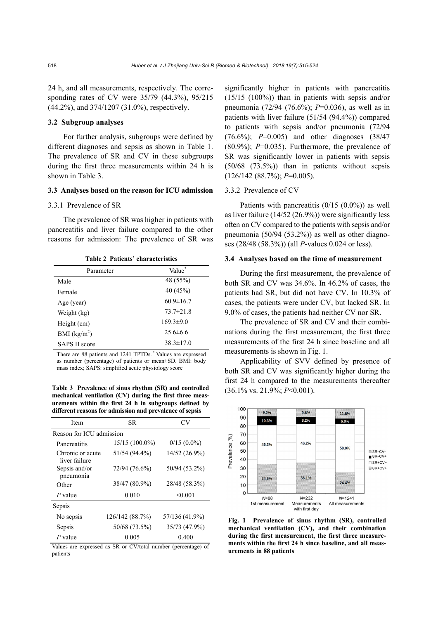24 h, and all measurements, respectively. The corresponding rates of CV were 35/79 (44.3%), 95/215 (44.2%), and 374/1207 (31.0%), respectively.

# **3.2 Subgroup analyses**

For further analysis, subgroups were defined by different diagnoses and sepsis as shown in Table 1. The prevalence of SR and CV in these subgroups during the first three measurements within 24 h is shown in Table 3.

# **3.3 Analyses based on the reason for ICU admission**

# 3.3.1 Prevalence of SR

The prevalence of SR was higher in patients with pancreatitis and liver failure compared to the other reasons for admission: The prevalence of SR was

| Parameter            | Value           |
|----------------------|-----------------|
| Male                 | 48 (55%)        |
| Female               | 40 (45%)        |
| Age (year)           | $60.9 \pm 16.7$ |
| Weight (kg)          | $73.7 \pm 21.8$ |
| Height (cm)          | $169.3 \pm 9.0$ |
| BMI $(kg/m2)$        | $25.6\pm 6.6$   |
| <b>SAPS II score</b> | $38.3 \pm 17.0$ |

**Table 2 Patients' characteristics** 

There are 88 patients and 1241 TPTDs. \* Values are expressed as number (percentage) of patients or mean±SD. BMI: body mass index; SAPS: simplified acute physiology score

**Table 3 Prevalence of sinus rhythm (SR) and controlled mechanical ventilation (CV) during the first three measurements within the first 24 h in subgroups defined by different reasons for admission and prevalence of sepsis** 

| Item                              | SR.             | CV             |  |  |  |  |
|-----------------------------------|-----------------|----------------|--|--|--|--|
| Reason for ICU admission          |                 |                |  |  |  |  |
| Pancreatitis                      | 15/15 (100.0%)  | $0/15(0.0\%)$  |  |  |  |  |
| Chronic or acute<br>liver failure | 51/54 (94.4%)   | 14/52 (26.9%)  |  |  |  |  |
| Sepsis and/or<br>pneumonia        | 72/94 (76.6%)   | 50/94 (53.2%)  |  |  |  |  |
| Other                             | 38/47 (80.9%)   | 28/48 (58.3%)  |  |  |  |  |
| P value                           | 0.010           | < 0.001        |  |  |  |  |
| Sepsis                            |                 |                |  |  |  |  |
| No sepsis                         | 126/142 (88.7%) | 57/136 (41.9%) |  |  |  |  |
| Sepsis                            | 50/68 (73.5%)   | 35/73 (47.9%)  |  |  |  |  |
| P value                           | 0.005           | 0.400          |  |  |  |  |

Values are expressed as SR or CV/total number (percentage) of patients

significantly higher in patients with pancreatitis (15/15 (100%)) than in patients with sepsis and/or pneumonia (72/94 (76.6%); *P*=0.036), as well as in patients with liver failure (51/54 (94.4%)) compared to patients with sepsis and/or pneumonia (72/94 (76.6%); *P*=0.005) and other diagnoses (38/47  $(80.9\%)$ ;  $P=0.035$ ). Furthermore, the prevalence of SR was significantly lower in patients with sepsis (50/68 (73.5%)) than in patients without sepsis (126/142 (88.7%); *P*=0.005).

# 3.3.2 Prevalence of CV

Patients with pancreatitis (0/15 (0.0%)) as well as liver failure (14/52 (26.9%)) were significantly less often on CV compared to the patients with sepsis and/or pneumonia (50/94 (53.2%)) as well as other diagnoses (28/48 (58.3%)) (all *P*-values 0.024 or less).

# **3.4 Analyses based on the time of measurement**

During the first measurement, the prevalence of both SR and CV was 34.6%. In 46.2% of cases, the patients had SR, but did not have CV. In 10.3% of cases, the patients were under CV, but lacked SR. In 9.0% of cases, the patients had neither CV nor SR.

The prevalence of SR and CV and their combinations during the first measurement, the first three measurements of the first 24 h since baseline and all measurements is shown in Fig. 1.

Applicability of SVV defined by presence of both SR and CV was significantly higher during the first 24 h compared to the measurements thereafter (36.1% vs. 21.9%; *P*<0.001).



**Fig. 1 Prevalence of sinus rhythm (SR), controlled mechanical ventilation (CV), and their combination during the first measurement, the first three measurements within the first 24 h since baseline, and all measurements in 88 patients**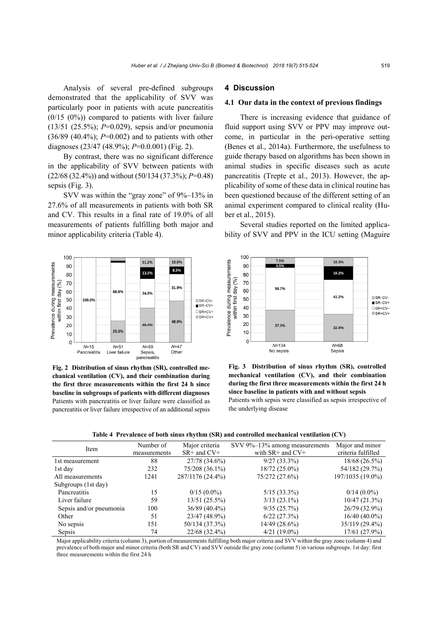Analysis of several pre-defined subgroups demonstrated that the applicability of SVV was particularly poor in patients with acute pancreatitis  $(0/15 (0%)$  compared to patients with liver failure (13/51 (25.5%); *P*=0.029), sepsis and/or pneumonia (36/89 (40.4%); *P*=0.002) and to patients with other diagnoses (23/47 (48.9%); *P*=0.0.001) (Fig. 2).

By contrast, there was no significant difference in the applicability of SVV between patients with (22/68 (32.4%)) and without (50/134 (37.3%); *P*=0.48) sepsis (Fig. 3).

SVV was within the "gray zone" of 9%–13% in 27.6% of all measurements in patients with both SR and CV. This results in a final rate of 19.0% of all measurements of patients fulfilling both major and minor applicability criteria (Table 4).



**Fig. 2 Distribution of sinus rhythm (SR), controlled mechanical ventilation (CV), and their combination during the first three measurements within the first 24 h since baseline in subgroups of patients with different diagnoses** Patients with pancreatitis or liver failure were classified as pancreatitis or liver failure irrespective of an additional sepsis

# **4 Discussion**

# **4.1 Our data in the context of previous findings**

There is increasing evidence that guidance of fluid support using SVV or PPV may improve outcome, in particular in the peri-operative setting (Benes et al., 2014a). Furthermore, the usefulness to guide therapy based on algorithms has been shown in animal studies in specific diseases such as acute pancreatitis (Trepte et al., 2013). However, the applicability of some of these data in clinical routine has been questioned because of the different setting of an animal experiment compared to clinical reality (Huber et al., 2015).

Several studies reported on the limited applicability of SVV and PPV in the ICU setting (Maguire



**Fig. 3 Distribution of sinus rhythm (SR), controlled mechanical ventilation (CV), and their combination during the first three measurements within the first 24 h since baseline in patients with and without sepsis**  Patients with sepsis were classified as sepsis irrespective of the underlying disease

|  |  | Table 4 Prevalence of both sinus rhythm (SR) and controlled mechanical ventilation (CV) |  |  |
|--|--|-----------------------------------------------------------------------------------------|--|--|
|  |  |                                                                                         |  |  |

| Item                    | Number of    | Major criteria   | SVV 9%-13% among measurements | Major and minor    |
|-------------------------|--------------|------------------|-------------------------------|--------------------|
|                         | measurements | $SR+$ and $CV+$  | with $SR$ + and $CV$ +        | criteria fulfilled |
| 1st measurement         | 88           | 27/78 (34.6%)    | $9/27(33.3\%)$                | 18/68 (26.5%)      |
| 1st day                 | 232          | 75/208 (36.1%)   | $18/72(25.0\%)$               | 54/182 (29.7%)     |
| All measurements        | 1241         | 287/1176 (24.4%) | 75/272 (27.6%)                | 197/1035 (19.0%)   |
| Subgroups (1st day)     |              |                  |                               |                    |
| Pancreatitis            | 15           | $0/15(0.0\%)$    | $5/15(33.3\%)$                | $0/14(0.0\%)$      |
| Liver failure           | 59           | 13/51 (25.5%)    | $3/13(23.1\%)$                | 10/47(21.3%)       |
| Sepsis and/or pneumonia | 100          | $36/89(40.4\%)$  | 9/35(25.7%)                   | 26/79 (32.9%)      |
| Other                   | 51           | 23/47 (48.9%)    | $6/22$ $(27.3%)$              | $16/40(40.0\%)$    |
| No sepsis               | 151          | 50/134 (37.3%)   | $14/49$ (28.6%)               | 35/119 (29.4%)     |
| Sepsis                  | 74           | 22/68 (32.4%)    | $4/21(19.0\%)$                | 17/61 (27.9%)      |

Major applicability criteria (column 3), portion of measurements fulfilling both major criteria and SVV within the gray zone (column 4) and prevalence of both major and minor criteria (both SR and CV) and SVV outside the gray zone (column 5) in various subgroups. 1st day: first three measurements within the first 24 h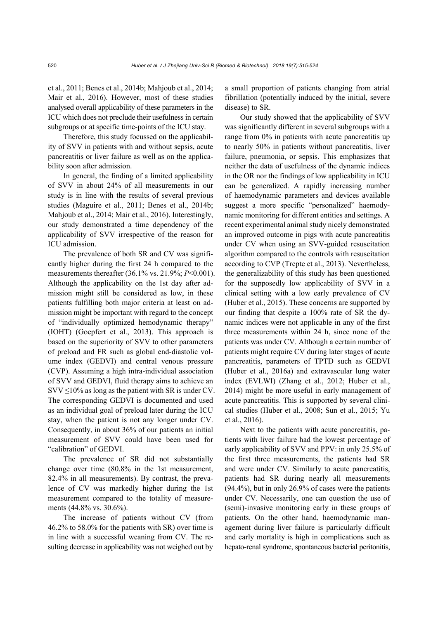et al., 2011; Benes et al., 2014b; Mahjoub et al., 2014; Mair et al., 2016). However, most of these studies analysed overall applicability of these parameters in the ICU which does not preclude their usefulness in certain subgroups or at specific time-points of the ICU stay.

Therefore, this study focussed on the applicability of SVV in patients with and without sepsis, acute pancreatitis or liver failure as well as on the applicability soon after admission.

In general, the finding of a limited applicability of SVV in about 24% of all measurements in our study is in line with the results of several previous studies (Maguire et al., 2011; Benes et al., 2014b; Mahjoub et al., 2014; Mair et al., 2016). Interestingly, our study demonstrated a time dependency of the applicability of SVV irrespective of the reason for ICU admission.

The prevalence of both SR and CV was significantly higher during the first 24 h compared to the measurements thereafter (36.1% vs. 21.9%; *P*<0.001). Although the applicability on the 1st day after admission might still be considered as low, in these patients fulfilling both major criteria at least on admission might be important with regard to the concept of "individually optimized hemodynamic therapy" (IOHT) (Goepfert et al., 2013). This approach is based on the superiority of SVV to other parameters of preload and FR such as global end-diastolic volume index (GEDVI) and central venous pressure (CVP). Assuming a high intra-individual association of SVV and GEDVI, fluid therapy aims to achieve an  $SVV \leq 10\%$  as long as the patient with SR is under CV. The corresponding GEDVI is documented and used as an individual goal of preload later during the ICU stay, when the patient is not any longer under CV. Consequently, in about 36% of our patients an initial measurement of SVV could have been used for "calibration" of GEDVI.

The prevalence of SR did not substantially change over time (80.8% in the 1st measurement, 82.4% in all measurements). By contrast, the prevalence of CV was markedly higher during the 1st measurement compared to the totality of measurements (44.8% vs. 30.6%).

The increase of patients without CV (from 46.2% to 58.0% for the patients with SR) over time is in line with a successful weaning from CV. The resulting decrease in applicability was not weighed out by a small proportion of patients changing from atrial fibrillation (potentially induced by the initial, severe disease) to SR.

Our study showed that the applicability of SVV was significantly different in several subgroups with a range from 0% in patients with acute pancreatitis up to nearly 50% in patients without pancreatitis, liver failure, pneumonia, or sepsis. This emphasizes that neither the data of usefulness of the dynamic indices in the OR nor the findings of low applicability in ICU can be generalized. A rapidly increasing number of haemodynamic parameters and devices available suggest a more specific "personalized" haemodynamic monitoring for different entities and settings. A recent experimental animal study nicely demonstrated an improved outcome in pigs with acute pancreatitis under CV when using an SVV-guided resuscitation algorithm compared to the controls with resuscitation according to CVP (Trepte et al., 2013). Nevertheless, the generalizability of this study has been questioned for the supposedly low applicability of SVV in a clinical setting with a low early prevalence of CV (Huber et al., 2015). These concerns are supported by our finding that despite a 100% rate of SR the dynamic indices were not applicable in any of the first three measurements within 24 h, since none of the patients was under CV. Although a certain number of patients might require CV during later stages of acute pancreatitis, parameters of TPTD such as GEDVI (Huber et al., 2016a) and extravascular lung water index (EVLWI) (Zhang et al., 2012; Huber et al., 2014) might be more useful in early management of acute pancreatitis. This is supported by several clinical studies (Huber et al., 2008; Sun et al., 2015; Yu et al., 2016).

Next to the patients with acute pancreatitis, patients with liver failure had the lowest percentage of early applicability of SVV and PPV: in only 25.5% of the first three measurements, the patients had SR and were under CV. Similarly to acute pancreatitis, patients had SR during nearly all measurements (94.4%), but in only 26.9% of cases were the patients under CV. Necessarily, one can question the use of (semi)-invasive monitoring early in these groups of patients. On the other hand, haemodynamic management during liver failure is particularly difficult and early mortality is high in complications such as hepato-renal syndrome, spontaneous bacterial peritonitis,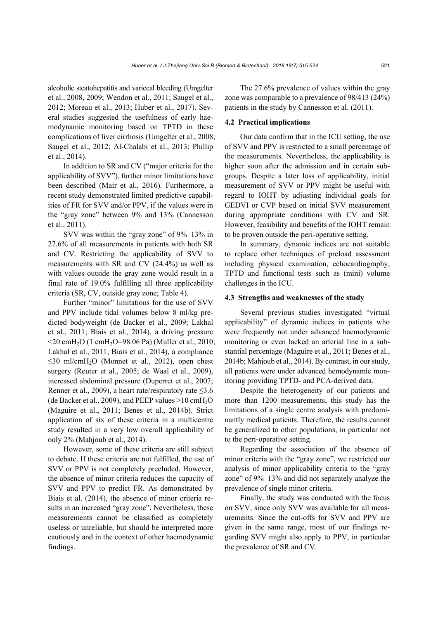alcoholic steatohepatitis and variceal bleeding (Umgelter et al., 2008, 2009; Wendon et al., 2011; Saugel et al., 2012; Moreau et al., 2013; Huber et al., 2017). Several studies suggested the usefulness of early haemodynamic monitoring based on TPTD in these complications of liver cirrhosis (Umgelter et al., 2008; Saugel et al., 2012; Al-Chalabi et al., 2013; Phillip et al., 2014).

In addition to SR and CV ("major criteria for the applicability of SVV"), further minor limitations have been described (Mair et al., 2016). Furthermore, a recent study demonstrated limited predictive capabilities of FR for SVV and/or PPV, if the values were in the "gray zone" between 9% and 13% (Cannesson et al., 2011).

SVV was within the "gray zone" of 9%–13% in 27.6% of all measurements in patients with both SR and CV. Restricting the applicability of SVV to measurements with SR and CV (24.4%) as well as with values outside the gray zone would result in a final rate of 19.0% fulfilling all three applicability criteria (SR, CV, outside gray zone; Table 4).

Further "minor" limitations for the use of SVV and PPV include tidal volumes below 8 ml/kg predicted bodyweight (de Backer et al., 2009; Lakhal et al., 2011; Biais et al., 2014), a driving pressure  $\leq$ 20 cmH<sub>2</sub>O (1 cmH<sub>2</sub>O=98.06 Pa) (Muller et al., 2010; Lakhal et al., 2011; Biais et al., 2014), a compliance  $\leq$ 30 ml/cmH<sub>2</sub>O (Monnet et al., 2012), open chest surgery (Reuter et al., 2005; de Waal et al., 2009), increased abdominal pressure (Duperret et al., 2007; Renner et al., 2009), a heart rate/respiratory rate  $\leq$ 3.6 (de Backer et al., 2009), and PEEP values  $>10$  cmH<sub>2</sub>O (Maguire et al., 2011; Benes et al., 2014b). Strict application of six of these criteria in a multicentre study resulted in a very low overall applicability of only 2% (Mahjoub et al., 2014).

However, some of these criteria are still subject to debate. If these criteria are not fulfilled, the use of SVV or PPV is not completely precluded. However, the absence of minor criteria reduces the capacity of SVV and PPV to predict FR. As demonstrated by Biais et al. (2014), the absence of minor criteria results in an increased "gray zone". Nevertheless, these measurements cannot be classified as completely useless or unreliable, but should be interpreted more cautiously and in the context of other haemodynamic findings.

The 27.6% prevalence of values within the gray zone was comparable to a prevalence of 98/413 (24%) patients in the study by Cannesson et al. (2011).

#### **4.2 Practical implications**

Our data confirm that in the ICU setting, the use of SVV and PPV is restricted to a small percentage of the measurements. Nevertheless, the applicability is higher soon after the admission and in certain subgroups. Despite a later loss of applicability, initial measurement of SVV or PPV might be useful with regard to IOHT by adjusting individual goals for GEDVI or CVP based on initial SVV measurement during appropriate conditions with CV and SR. However, feasibility and benefits of the IOHT remain to be proven outside the peri-operative setting.

In summary, dynamic indices are not suitable to replace other techniques of preload assessment including physical examination, echocardiography, TPTD and functional tests such as (mini) volume challenges in the ICU.

#### **4.3 Strengths and weaknesses of the study**

Several previous studies investigated "virtual applicability" of dynamic indices in patients who were frequently not under advanced haemodynamic monitoring or even lacked an arterial line in a substantial percentage (Maguire et al., 2011; Benes et al., 2014b; Mahjoub et al., 2014). By contrast, in our study, all patients were under advanced hemodynamic monitoring providing TPTD- and PCA-derived data.

Despite the heterogeneity of our patients and more than 1200 measurements, this study has the limitations of a single centre analysis with predominantly medical patients. Therefore, the results cannot be generalized to other populations, in particular not to the peri-operative setting.

Regarding the association of the absence of minor criteria with the "gray zone", we restricted our analysis of minor applicability criteria to the "gray zone" of 9%–13% and did not separately analyze the prevalence of single minor criteria.

Finally, the study was conducted with the focus on SVV, since only SVV was available for all measurements. Since the cut-offs for SVV and PPV are given in the same range, most of our findings regarding SVV might also apply to PPV, in particular the prevalence of SR and CV.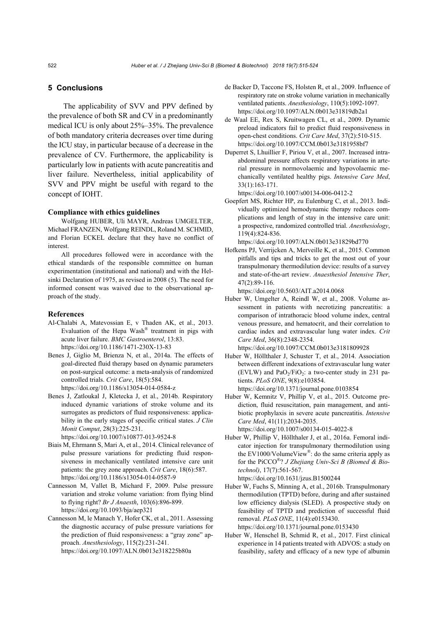# **5 Conclusions**

The applicability of SVV and PPV defined by the prevalence of both SR and CV in a predominantly medical ICU is only about 25%–35%. The prevalence of both mandatory criteria decreases over time during the ICU stay, in particular because of a decrease in the prevalence of CV. Furthermore, the applicability is particularly low in patients with acute pancreatitis and liver failure. Nevertheless, initial applicability of SVV and PPV might be useful with regard to the concept of IOHT.

#### **Compliance with ethics guidelines**

Wolfgang HUBER, Uli MAYR, Andreas UMGELTER, Michael FRANZEN, Wolfgang REINDL, Roland M. SCHMID, and Florian ECKEL declare that they have no conflict of interest.

All procedures followed were in accordance with the ethical standards of the responsible committee on human experimentation (institutional and national) and with the Helsinki Declaration of 1975, as revised in 2008 (5). The need for informed consent was waived due to the observational approach of the study.

#### **References**

- Al-Chalabi A, Matevossian E, v Thaden AK, et al., 2013. Evaluation of the Hepa Wash<sup>®</sup> treatment in pigs with acute liver failure. *BMC Gastroenterol*, 13:83. https://doi.org/10.1186/1471-230X-13-83
- Benes J, Giglio M, Brienza N, et al., 2014a. The effects of goal-directed fluid therapy based on dynamic parameters on post-surgical outcome: a meta-analysis of randomized controlled trials. *Crit Care*, 18(5):584. https://doi.org/10.1186/s13054-014-0584-z
- Benes J, Zatloukal J, Kletecka J, et al., 2014b. Respiratory induced dynamic variations of stroke volume and its surrogates as predictors of fluid responsiveness: applicability in the early stages of specific critical states. *J Clin Monit Comput*, 28(3):225-231.

https://doi.org/10.1007/s10877-013-9524-8

- Biais M, Ehrmann S, Mari A, et al., 2014. Clinical relevance of pulse pressure variations for predicting fluid responsiveness in mechanically ventilated intensive care unit patients: the grey zone approach. *Crit Care*, 18(6):587. https://doi.org/10.1186/s13054-014-0587-9
- Cannesson M, Vallet B, Michard F, 2009. Pulse pressure variation and stroke volume variation: from flying blind to flying right? *Br J Anaesth*, 103(6):896-899. https://doi.org/10.1093/bja/aep321
- Cannesson M, le Manach Y, Hofer CK, et al., 2011. Assessing the diagnostic accuracy of pulse pressure variations for the prediction of fluid responsiveness: a "gray zone" approach. *Anesthesiology*, 115(2):231-241. https://doi.org/10.1097/ALN.0b013e318225b80a
- de Backer D, Taccone FS, Holsten R, et al., 2009. Influence of respiratory rate on stroke volume variation in mechanically ventilated patients. *Anesthesiology*, 110(5):1092-1097. https://doi.org/10.1097/ALN.0b013e31819db2a1
- de Waal EE, Rex S, Kruitwagen CL, et al., 2009. Dynamic preload indicators fail to predict fluid responsiveness in open-chest conditions. *Crit Care Med*, 37(2):510-515. https://doi.org/10.1097/CCM.0b013e3181958bf7
- Duperret S, Lhuillier F, Piriou V, et al., 2007. Increased intraabdominal pressure affects respiratory variations in arterial pressure in normovolaemic and hypovolaemic mechanically ventilated healthy pigs. *Intensive Care Med*, 33(1):163-171.

https://doi.org/10.1007/s00134-006-0412-2

Goepfert MS, Richter HP, zu Eulenburg C, et al., 2013. Individually optimized hemodynamic therapy reduces complications and length of stay in the intensive care unit: a prospective, randomized controlled trial. *Anesthesiology*, 119(4):824-836.

https://doi.org/10.1097/ALN.0b013e31829bd770

Hofkens PJ, Verrijcken A, Merveille K, et al., 2015. Common pitfalls and tips and tricks to get the most out of your transpulmonary thermodilution device: results of a survey and state-of-the-art review. *Anaesthesiol Intensive Ther*, 47(2):89-116.

https://doi.org/10.5603/AIT.a2014.0068

Huber W, Umgelter A, Reindl W, et al., 2008. Volume assessment in patients with necrotizing pancreatitis: a comparison of intrathoracic blood volume index, central venous pressure, and hematocrit, and their correlation to cardiac index and extravascular lung water index. *Crit Care Med*, 36(8):2348-2354. https://doi.org/10.1097/CCM.0b013e3181809928

Huber W, Höllthaler J, Schuster T, et al., 2014. Association between different indexations of extravascular lung water (EVLW) and  $PaO<sub>2</sub>/FiO<sub>2</sub>$ : a two-center study in 231 patients. *PLoS ONE*, 9(8):e103854. https://doi.org/10.1371/journal.pone.0103854

Huber W, Kemnitz V, Phillip V, et al., 2015. Outcome prediction, fluid resuscitation, pain management, and antibiotic prophylaxis in severe acute pancreatitis. *Intensive Care Med*, 41(11):2034-2035.

https://doi.org/10.1007/s00134-015-4022-8

- Huber W, Phillip V, Höllthaler J, et al., 2016a. Femoral indicator injection for transpulmonary thermodilution using the EV1000/VolumeView<sup>®</sup>: do the same criteria apply as for the PiCCO®? *J Zhejiang Univ-Sci B (Biomed & Biotechnol)*, 17(7):561-567. https://doi.org/10.1631/jzus.B1500244
- Huber W, Fuchs S, Minning A, et al., 2016b. Transpulmonary thermodilution (TPTD) before, during and after sustained low efficiency dialysis (SLED). A prospective study on feasibility of TPTD and prediction of successful fluid removal. *PLoS ONE*, 11(4):e0153430. https://doi.org/10.1371/journal.pone.0153430
- Huber W, Henschel B, Schmid R, et al., 2017. First clinical experience in 14 patients treated with ADVOS: a study on feasibility, safety and efficacy of a new type of albumin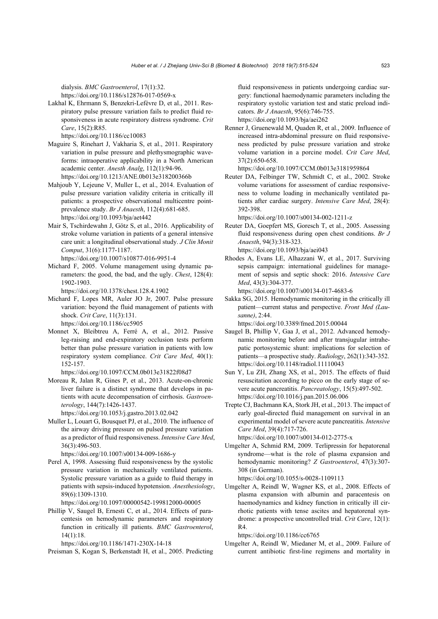dialysis. *BMC Gastroenterol*, 17(1):32.

https://doi.org/10.1186/s12876-017-0569-x

Lakhal K, Ehrmann S, Benzekri-Lefèvre D, et al., 2011. Respiratory pulse pressure variation fails to predict fluid responsiveness in acute respiratory distress syndrome. *Crit Care*, 15(2):R85.

https://doi.org/10.1186/cc10083

- Maguire S, Rinehart J, Vakharia S, et al., 2011. Respiratory variation in pulse pressure and plethysmographic waveforms: intraoperative applicability in a North American academic center. *Anesth Analg*, 112(1):94-96. https://doi.org/10.1213/ANE.0b013e318200366b
- Mahjoub Y, Lejeune V, Muller L, et al., 2014. Evaluation of pulse pressure variation validity criteria in critically ill patients: a prospective observational multicentre pointprevalence study. *Br J Anaesth*, 112(4):681-685. https://doi.org/10.1093/bja/aet442
- Mair S, Tschirdewahn J, Götz S, et al., 2016. Applicability of stroke volume variation in patients of a general intensive care unit: a longitudinal observational study. *J Clin Monit Comput*, 31(6):1177-1187.

https://doi.org/10.1007/s10877-016-9951-4

Michard F, 2005. Volume management using dynamic parameters: the good, the bad, and the ugly. *Chest*, 128(4): 1902-1903.

https://doi.org/10.1378/chest.128.4.1902

- Michard F, Lopes MR, Auler JO Jr, 2007. Pulse pressure variation: beyond the fluid management of patients with shock. *Crit Care*, 11(3):131. https://doi.org/10.1186/cc5905
- Monnet X, Bleibtreu A, Ferré A, et al., 2012. Passive leg-raising and end-expiratory occlusion tests perform better than pulse pressure variation in patients with low respiratory system compliance. *Crit Care Med*, 40(1): 152-157.
	- https://doi.org/10.1097/CCM.0b013e31822f08d7
- Moreau R, Jalan R, Gines P, et al., 2013. Acute-on-chronic liver failure is a distinct syndrome that develops in patients with acute decompensation of cirrhosis. *Gastroenterology*, 144(7):1426-1437.

https://doi.org/10.1053/j.gastro.2013.02.042

Muller L, Louart G, Bousquet PJ, et al., 2010. The influence of the airway driving pressure on pulsed pressure variation as a predictor of fluid responsiveness. *Intensive Care Med*, 36(3):496-503.

https://doi.org/10.1007/s00134-009-1686-y

Perel A, 1998. Assessing fluid responsiveness by the systolic pressure variation in mechanically ventilated patients. Systolic pressure variation as a guide to fluid therapy in patients with sepsis-induced hypotension. *Anesthesiology*, 89(6):1309-1310.

https://doi.org/10.1097/00000542-199812000-00005

Phillip V, Saugel B, Ernesti C, et al., 2014. Effects of paracentesis on hemodynamic parameters and respiratory function in critically ill patients. *BMC Gastroenterol*, 14(1):18.

https://doi.org/10.1186/1471-230X-14-18

Preisman S, Kogan S, Berkenstadt H, et al., 2005. Predicting

fluid responsiveness in patients undergoing cardiac surgery: functional haemodynamic parameters including the respiratory systolic variation test and static preload indicators. *Br J Anaesth*, 95(6):746-755. https://doi.org/10.1093/bja/aei262

Renner J, Gruenewald M, Quaden R, et al., 2009. Influence of increased intra-abdominal pressure on fluid responsiveness predicted by pulse pressure variation and stroke volume variation in a porcine model. *Crit Care Med*, 37(2):650-658.

https://doi.org/10.1097/CCM.0b013e3181959864

Reuter DA, Felbinger TW, Schmidt C, et al., 2002. Stroke volume variations for assessment of cardiac responsiveness to volume loading in mechanically ventilated patients after cardiac surgery. *Intensive Care Med*, 28(4): 392-398.

https://doi.org/10.1007/s00134-002-1211-z

- Reuter DA, Goepfert MS, Goresch T, et al., 2005. Assessing fluid responsiveness during open chest conditions. *Br J Anaesth*, 94(3):318-323. https://doi.org/10.1093/bja/aei043
- Rhodes A, Evans LE, Alhazzani W, et al., 2017. Surviving sepsis campaign: international guidelines for management of sepsis and septic shock: 2016. *Intensive Care Med*, 43(3):304-377.

https://doi.org/10.1007/s00134-017-4683-6

Sakka SG, 2015. Hemodynamic monitoring in the critically ill patient—current status and perspective. *Front Med (Lausanne)*, 2:44.

https://doi.org/10.3389/fmed.2015.00044

- Saugel B, Phillip V, Gaa J, et al., 2012. Advanced hemodynamic monitoring before and after transjugular intrahepatic portosystemic shunt: implications for selection of patients—a prospective study. *Radiology*, 262(1):343-352. https://doi.org/10.1148/radiol.11110043
- Sun Y, Lu ZH, Zhang XS, et al., 2015. The effects of fluid resuscitation according to picco on the early stage of severe acute pancreatitis. *Pancreatology*, 15(5):497-502. https://doi.org/10.1016/j.pan.2015.06.006
- Trepte CJ, Bachmann KA, Stork JH, et al., 2013. The impact of early goal-directed fluid management on survival in an experimental model of severe acute pancreatitis. *Intensive Care Med*, 39(4):717-726. https://doi.org/10.1007/s00134-012-2775-x
- Umgelter A, Schmid RM, 2009. Terlipressin for hepatorenal syndrome—what is the role of plasma expansion and hemodynamic monitoring? *Z Gastroenterol*, 47(3):307- 308 (in German).

https://doi.org/10.1055/s-0028-1109113

Umgelter A, Reindl W, Wagner KS, et al., 2008. Effects of plasma expansion with albumin and paracentesis on haemodynamics and kidney function in critically ill cirrhotic patients with tense ascites and hepatorenal syndrome: a prospective uncontrolled trial. *Crit Care*, 12(1): R4.

https://doi.org/10.1186/cc6765

Umgelter A, Reindl W, Miedaner M, et al., 2009. Failure of current antibiotic first-line regimens and mortality in